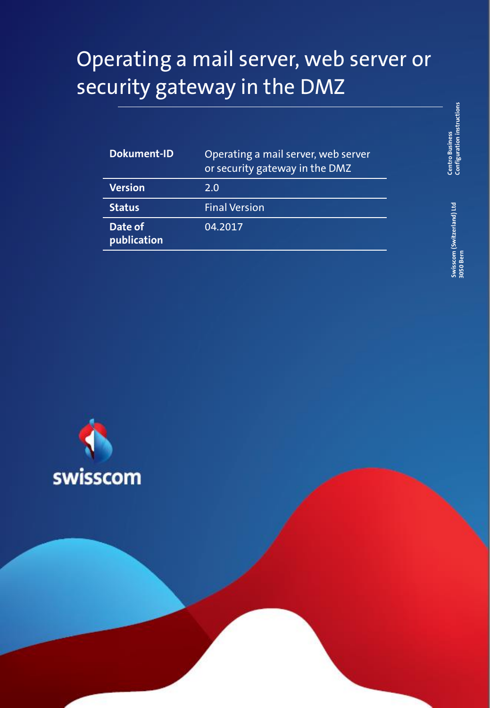## Operating a mail server, web server or security gateway in the DMZ

| <b>Dokument-ID</b>     | Operating a mail server, web server<br>or security gateway in the DMZ |
|------------------------|-----------------------------------------------------------------------|
| <b>Version</b>         | 2.0                                                                   |
| <b>Status</b>          | <b>Final Version</b>                                                  |
| Date of<br>publication | 04.2017                                                               |

**Centro Business**<br>Configuration instructions **Configuration instructions Centro Business** 

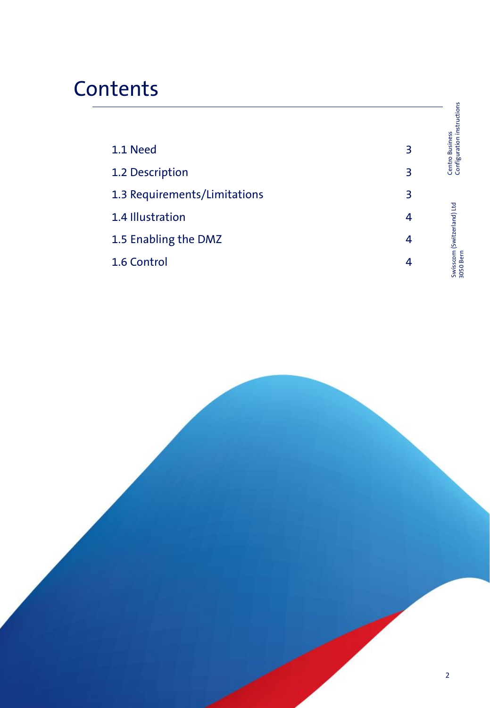## **Contents**

|                              |   | Centro Business<br>Configuration instructions |
|------------------------------|---|-----------------------------------------------|
| 1.1 Need                     | 3 |                                               |
| 1.2 Description              | 3 |                                               |
| 1.3 Requirements/Limitations | 3 |                                               |
| 1.4 Illustration             | 4 |                                               |
| 1.5 Enabling the DMZ         | 4 |                                               |
| 1.6 Control                  | 4 | Swisscom (Switzerland) Ltd<br>3050 Bern       |

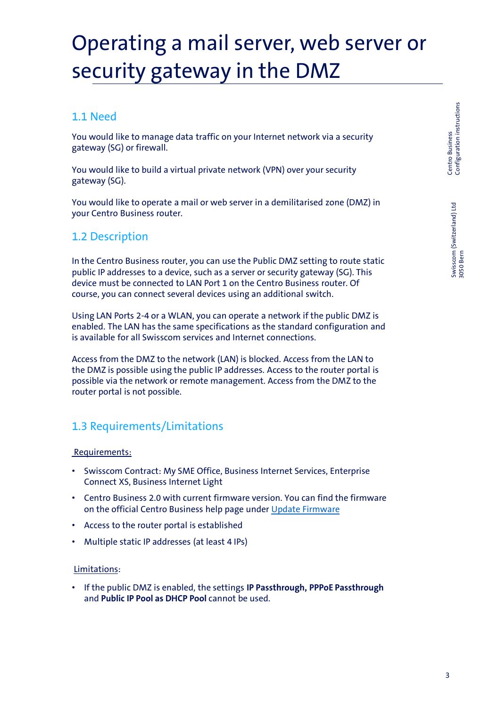Swisscom (Switzerland) Ltd 3050 Bern

Swisscom (Switzerland) Ltd<br>3050 Bern

# Operating a mail server, web server or security gateway in the DMZ

### 1.1 Need

You would like to manage data traffic on your Internet network via a security gateway (SG) or firewall.

You would like to build a virtual private network (VPN) over your security gateway (SG).

You would like to operate a mail or web server in a demilitarised zone (DMZ) in your Centro Business router.

### 1.2 Description

In the Centro Business router, you can use the Public DMZ setting to route static public IP addresses to a device, such as a server or security gateway (SG). This device must be connected to LAN Port 1 on the Centro Business router. Of course, you can connect several devices using an additional switch.

Using LAN Ports 2-4 or a WLAN, you can operate a network if the public DMZ is enabled. The LAN has the same specifications as the standard configuration and is available for all Swisscom services and Internet connections.

Access from the DMZ to the network (LAN) is blocked. Access from the LAN to the DMZ is possible using the public IP addresses. Access to the router portal is possible via the network or remote management. Access from the DMZ to the router portal is not possible.

## 1.3 Requirements/Limitations

#### Requirements:

- Swisscom Contract: My SME Office, Business Internet Services, Enterprise Connect XS, Business Internet Light
- Centro Business 2.0 with current firmware version. You can find the firmware on the official Centro Business help page under [Update Firmware](http://www.swisscom.ch/centrobusiness2-fw)
- Access to the router portal is established
- Multiple static IP addresses (at least 4 IPs)

#### Limitations:

• If the public DMZ is enabled, the settings **IP Passthrough, PPPoE Passthrough** and **Public IP Pool as DHCP Pool** cannot be used.